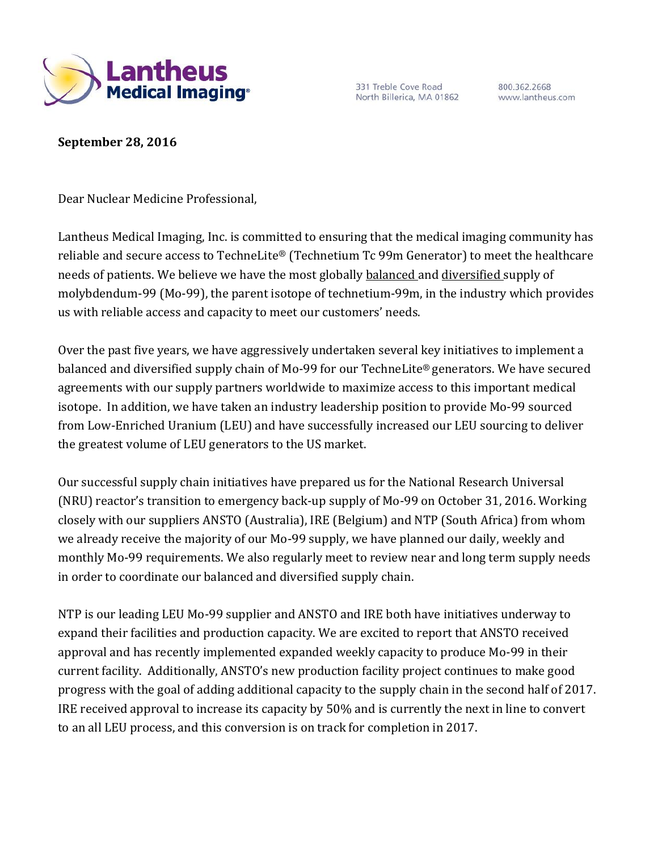

331 Treble Cove Road North Billerica, MA 01862

800.362.2668 www.lantheus.com

**September 28, 2016**

Dear Nuclear Medicine Professional,

Lantheus Medical Imaging, Inc. is committed to ensuring that the medical imaging community has reliable and secure access to TechneLite® (Technetium Tc 99m Generator) to meet the healthcare needs of patients. We believe we have the most globally balanced and diversified supply of molybdendum-99 (Mo-99), the parent isotope of technetium-99m, in the industry which provides us with reliable access and capacity to meet our customers' needs.

Over the past five years, we have aggressively undertaken several key initiatives to implement a balanced and diversified supply chain of Mo-99 for our TechneLite® generators. We have secured agreements with our supply partners worldwide to maximize access to this important medical isotope. In addition, we have taken an industry leadership position to provide Mo-99 sourced from Low-Enriched Uranium (LEU) and have successfully increased our LEU sourcing to deliver the greatest volume of LEU generators to the US market.

Our successful supply chain initiatives have prepared us for the National Research Universal (NRU) reactor's transition to emergency back-up supply of Mo-99 on October 31, 2016. Working closely with our suppliers ANSTO (Australia), IRE (Belgium) and NTP (South Africa) from whom we already receive the majority of our Mo-99 supply, we have planned our daily, weekly and monthly Mo-99 requirements. We also regularly meet to review near and long term supply needs in order to coordinate our balanced and diversified supply chain.

NTP is our leading LEU Mo-99 supplier and ANSTO and IRE both have initiatives underway to expand their facilities and production capacity. We are excited to report that ANSTO received approval and has recently implemented expanded weekly capacity to produce Mo-99 in their current facility. Additionally, ANSTO's new production facility project continues to make good progress with the goal of adding additional capacity to the supply chain in the second half of 2017. IRE received approval to increase its capacity by 50% and is currently the next in line to convert to an all LEU process, and this conversion is on track for completion in 2017.